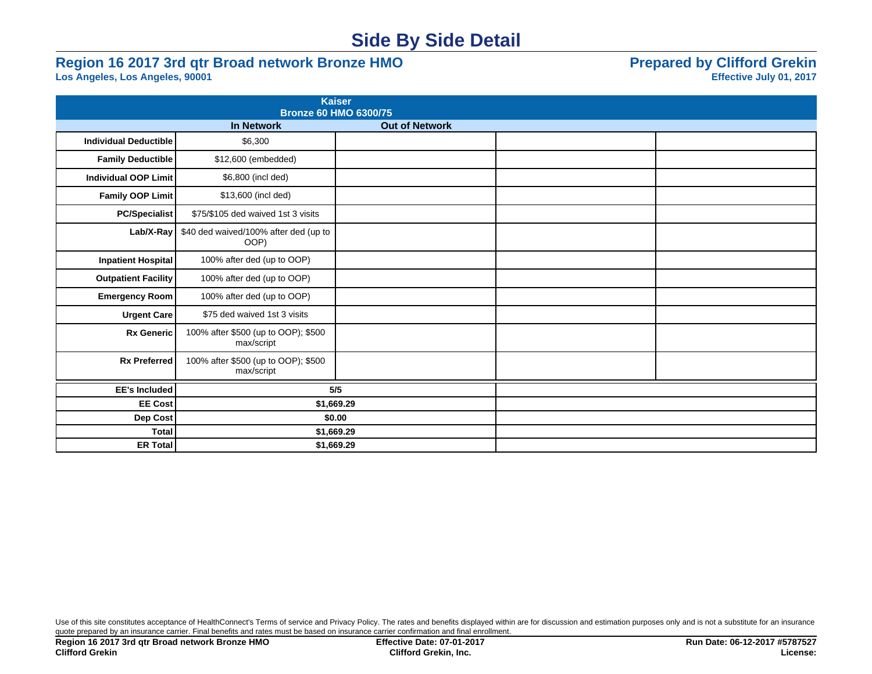## **Side By Side Detail**

# **Region 16 2017 3rd qtr Broad network Bronze HMO**<br>
Los Angeles, Los Angeles, 90001<br>
Effective July 01, 2017

Los Angeles, Los Angeles, 90001

|                              | <b>Kaiser</b><br><b>Bronze 60 HMO 6300/75</b>     |                       |  |
|------------------------------|---------------------------------------------------|-----------------------|--|
|                              | <b>In Network</b>                                 | <b>Out of Network</b> |  |
| <b>Individual Deductible</b> | \$6,300                                           |                       |  |
| <b>Family Deductible</b>     | \$12,600 (embedded)                               |                       |  |
| <b>Individual OOP Limit</b>  | \$6,800 (incl ded)                                |                       |  |
| Family OOP Limit             | \$13,600 (incl ded)                               |                       |  |
| <b>PC/Specialist</b>         | \$75/\$105 ded waived 1st 3 visits                |                       |  |
| $Lab/X-Ray$                  | \$40 ded waived/100% after ded (up to<br>OOP)     |                       |  |
| <b>Inpatient Hospital</b>    | 100% after ded (up to OOP)                        |                       |  |
| <b>Outpatient Facility</b>   | 100% after ded (up to OOP)                        |                       |  |
| <b>Emergency Room</b>        | 100% after ded (up to OOP)                        |                       |  |
| Urgent Care                  | \$75 ded waived 1st 3 visits                      |                       |  |
| <b>Rx Generic</b>            | 100% after \$500 (up to OOP); \$500<br>max/script |                       |  |
| <b>Rx Preferred</b>          | 100% after \$500 (up to OOP); \$500<br>max/script |                       |  |
| <b>EE's Included</b>         | 5/5                                               |                       |  |
| <b>EE Cost</b>               | \$1,669.29                                        |                       |  |
| Dep Cost                     | \$0.00                                            |                       |  |
| <b>Total</b>                 | \$1,669.29                                        |                       |  |
| <b>ER Total</b>              | \$1,669.29                                        |                       |  |

Use of this site constitutes acceptance of HealthConnect's Terms of service and Privacy Policy. The rates and benefits displayed within are for discussion and estimation purposes only and is not a substitute for an insuran quote prepared by an insurance carrier. Final benefits and rates must be based on insurance carrier confirmation and final enrollment.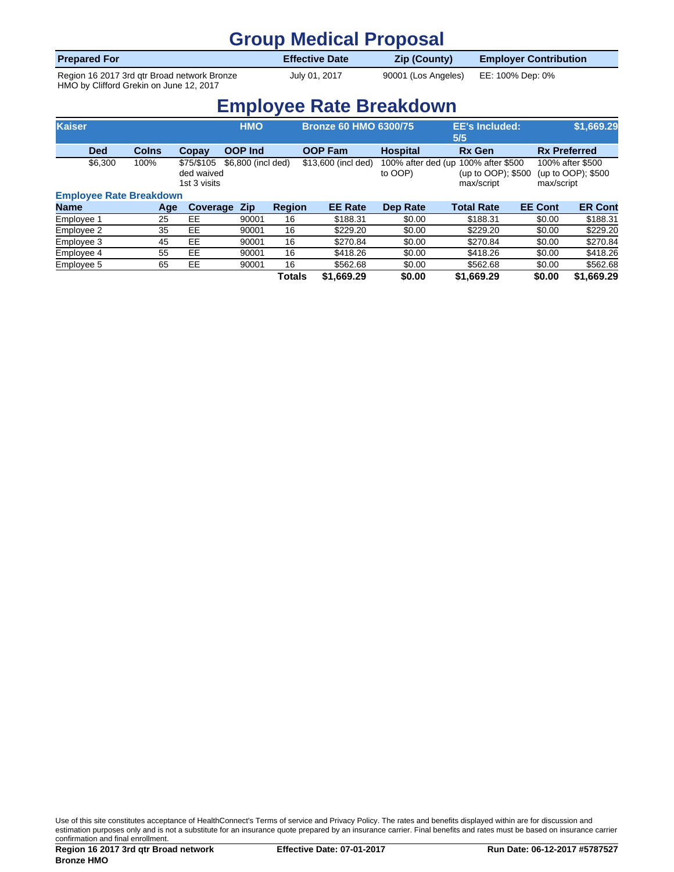### **Group Medical Proposal**

| <b>Prepared For</b>                         | <b>Effective Date</b> | <b>Zip (County)</b> | <b>Employer Contribution</b> |
|---------------------------------------------|-----------------------|---------------------|------------------------------|
| Region 16 2017 3rd gtr Broad network Bronze | July 01, 2017         | 90001 (Los Angeles) | EE: 100% Dep: 0%             |

HMO by Clifford Grekin on June 12, 2017

**Employee Rate Breakdown**

| <b>Kaiser</b>                  |              |                                          | <b>HMO</b>         |               | <b>Bronze 60 HMO 6300/75</b> |                               | <b>EE's Included:</b><br>5/5                         |                | \$1,669.29                             |
|--------------------------------|--------------|------------------------------------------|--------------------|---------------|------------------------------|-------------------------------|------------------------------------------------------|----------------|----------------------------------------|
| <b>Ded</b>                     | <b>Colns</b> | Copay                                    | <b>OOP Ind</b>     |               | <b>OOP Fam</b>               | <b>Hospital</b>               | <b>Rx Gen</b>                                        |                | <b>Rx Preferred</b>                    |
| \$6,300                        | 100%         | \$75/\$105<br>ded waived<br>1st 3 visits | \$6,800 (incl ded) |               | \$13,600 (incl ded)          | 100% after ded (up<br>to OOP) | 100% after \$500<br>(up to OOP); \$500<br>max/script | max/script     | 100% after \$500<br>(up to OOP); \$500 |
| <b>Employee Rate Breakdown</b> |              |                                          |                    |               |                              |                               |                                                      |                |                                        |
| Name                           | Age          | Coverage                                 | <b>Zip</b>         | <b>Region</b> | <b>EE Rate</b>               | <b>Dep Rate</b>               | <b>Total Rate</b>                                    | <b>EE Cont</b> | <b>ER Cont</b>                         |
| Employee 1                     | 25           | EE                                       | 90001              | 16            | \$188.31                     | \$0.00                        | \$188.31                                             | \$0.00         | \$188.31                               |
| Employee 2                     | 35           | EE                                       | 90001              | 16            | \$229.20                     | \$0.00                        | \$229.20                                             | \$0.00         | \$229.20                               |
| Employee 3                     | 45           | EE                                       | 90001              | 16            | \$270.84                     | \$0.00                        | \$270.84                                             | \$0.00         | \$270.84                               |
| Employee 4                     | 55           | <b>EE</b>                                | 90001              | 16            | \$418.26                     | \$0.00                        | \$418.26                                             | \$0.00         | \$418.26                               |
| Employee 5                     | 65           | EE                                       | 90001              | 16            | \$562.68                     | \$0.00                        | \$562.68                                             | \$0.00         | \$562.68                               |
|                                |              |                                          |                    | Totals        | \$1,669.29                   | \$0.00                        | \$1,669.29                                           | \$0.00         | \$1,669.29                             |

Use of this site constitutes acceptance of HealthConnect's Terms of service and Privacy Policy. The rates and benefits displayed within are for discussion and estimation purposes only and is not a substitute for an insurance quote prepared by an insurance carrier. Final benefits and rates must be based on insurance carrier.<br>
Estimation purposes only and is not a substitute for a confirmation and final enrollment.